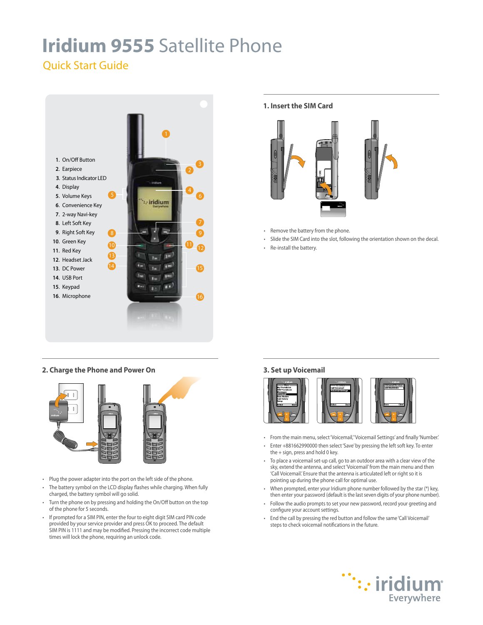# **Iridium 9555** Satellite Phone

# Quick Start Guide



# **2. Charge the Phone and Power On**



- Plug the power adapter into the port on the left side of the phone.
- The battery symbol on the LCD display flashes while charging. When fully charged, the battery symbol will go solid.
- Turn the phone on by pressing and holding the On/Off button on the top of the phone for 5 seconds.
- If prompted for a SIM PIN, enter the four to eight digit SIM card PIN code provided by your service provider and press OK to proceed. The default SIM PIN is 1111 and may be modified. Pressing the incorrect code multiple times will lock the phone, requiring an unlock code.

# **1. Insert the SIM Card**



- Remove the battery from the phone.
- Slide the SIM Card into the slot, following the orientation shown on the decal.
- Re-install the battery.

# **3. Set up Voicemail**



- From the main menu, select 'Voicemail,' 'Voicemail Settings' and finally 'Number.'
- Enter +881662990000 then select 'Save' by pressing the left soft key. To enter the + sign, press and hold 0 key.
- To place a voicemail set-up call, go to an outdoor area with a clear view of the sky, extend the antenna, and select 'Voicemail' from the main menu and then 'Call Voicemail.' Ensure that the antenna is articulated left or right so it is pointing up during the phone call for optimal use.
- When prompted, enter your Iridium phone number followed by the star (\*) key, then enter your password (default is the last seven digits of your phone number).
- Follow the audio prompts to set your new password, record your greeting and configure your account settings.
- End the call by pressing the red button and follow the same 'Call Voicemail' steps to check voicemail notifications in the future.